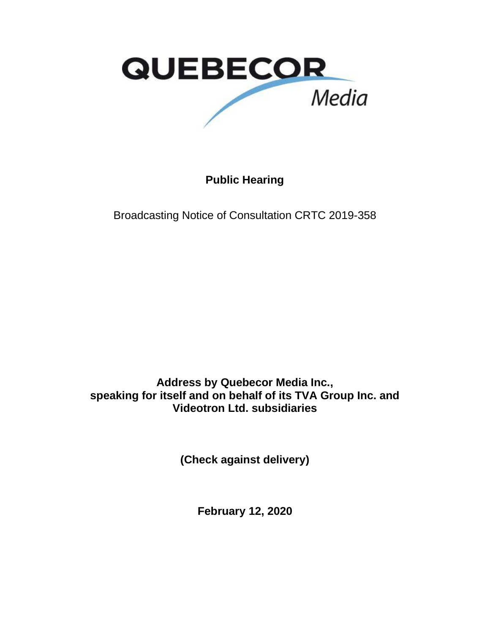

**Public Hearing**

Broadcasting Notice of Consultation CRTC 2019-358

**Address by Quebecor Media Inc., speaking for itself and on behalf of its TVA Group Inc. and Videotron Ltd. subsidiaries**

**(Check against delivery)**

**February 12, 2020**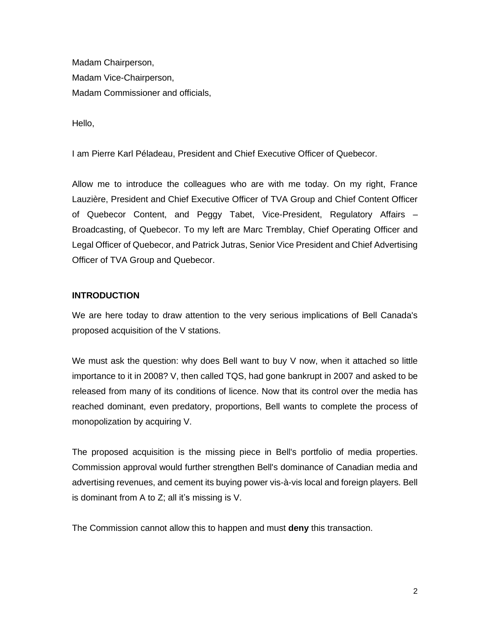Madam Chairperson, Madam Vice-Chairperson, Madam Commissioner and officials,

Hello,

I am Pierre Karl Péladeau, President and Chief Executive Officer of Quebecor.

Allow me to introduce the colleagues who are with me today. On my right, France Lauzière, President and Chief Executive Officer of TVA Group and Chief Content Officer of Quebecor Content, and Peggy Tabet, Vice-President, Regulatory Affairs – Broadcasting, of Quebecor. To my left are Marc Tremblay, Chief Operating Officer and Legal Officer of Quebecor, and Patrick Jutras, Senior Vice President and Chief Advertising Officer of TVA Group and Quebecor.

### **INTRODUCTION**

We are here today to draw attention to the very serious implications of Bell Canada's proposed acquisition of the V stations.

We must ask the question: why does Bell want to buy V now, when it attached so little importance to it in 2008? V, then called TQS, had gone bankrupt in 2007 and asked to be released from many of its conditions of licence. Now that its control over the media has reached dominant, even predatory, proportions, Bell wants to complete the process of monopolization by acquiring V.

The proposed acquisition is the missing piece in Bell's portfolio of media properties. Commission approval would further strengthen Bell's dominance of Canadian media and advertising revenues, and cement its buying power vis-à-vis local and foreign players. Bell is dominant from A to Z; all it's missing is V.

The Commission cannot allow this to happen and must **deny** this transaction.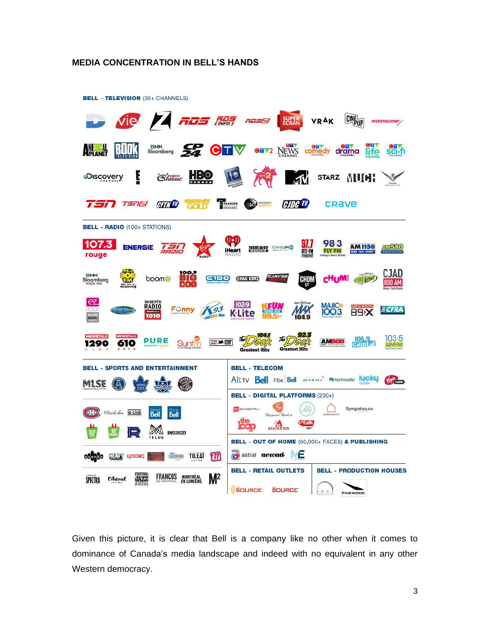#### **MEDIA CONCENTRATION IN BELL'S HANDS**



Given this picture, it is clear that Bell is a company like no other when it comes to dominance of Canada's media landscape and indeed with no equivalent in any other Western democracy.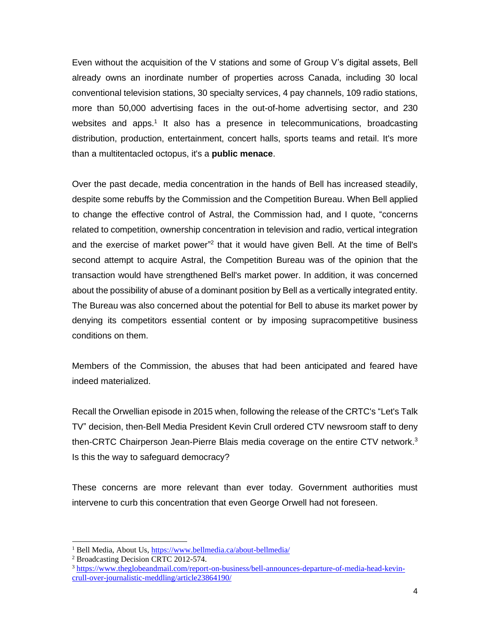Even without the acquisition of the V stations and some of Group V's digital assets, Bell already owns an inordinate number of properties across Canada, including 30 local conventional television stations, 30 specialty services, 4 pay channels, 109 radio stations, more than 50,000 advertising faces in the out-of-home advertising sector, and 230 websites and apps.<sup>1</sup> It also has a presence in telecommunications, broadcasting distribution, production, entertainment, concert halls, sports teams and retail. It's more than a multitentacled octopus, it's a **public menace**.

Over the past decade, media concentration in the hands of Bell has increased steadily, despite some rebuffs by the Commission and the Competition Bureau. When Bell applied to change the effective control of Astral, the Commission had, and I quote, "concerns related to competition, ownership concentration in television and radio, vertical integration and the exercise of market power"<sup>2</sup> that it would have given Bell. At the time of Bell's second attempt to acquire Astral, the Competition Bureau was of the opinion that the transaction would have strengthened Bell's market power. In addition, it was concerned about the possibility of abuse of a dominant position by Bell as a vertically integrated entity. The Bureau was also concerned about the potential for Bell to abuse its market power by denying its competitors essential content or by imposing supracompetitive business conditions on them.

Members of the Commission, the abuses that had been anticipated and feared have indeed materialized.

Recall the Orwellian episode in 2015 when, following the release of the CRTC's "Let's Talk TV" decision, then-Bell Media President Kevin Crull ordered CTV newsroom staff to deny then-CRTC Chairperson Jean-Pierre Blais media coverage on the entire CTV network.<sup>3</sup> Is this the way to safeguard democracy?

These concerns are more relevant than ever today. Government authorities must intervene to curb this concentration that even George Orwell had not foreseen.

<sup>1</sup> Bell Media, About Us,<https://www.bellmedia.ca/about-bellmedia/>

<sup>2</sup> Broadcasting Decision CRTC 2012-574.

<sup>3</sup> [https://www.theglobeandmail.com/report-on-business/bell-announces-departure-of-media-head-kevin](https://www.theglobeandmail.com/report-on-business/bell-announces-departure-of-media-head-kevin-crull-over-journalistic-meddling/article23864190/)[crull-over-journalistic-meddling/article23864190/](https://www.theglobeandmail.com/report-on-business/bell-announces-departure-of-media-head-kevin-crull-over-journalistic-meddling/article23864190/)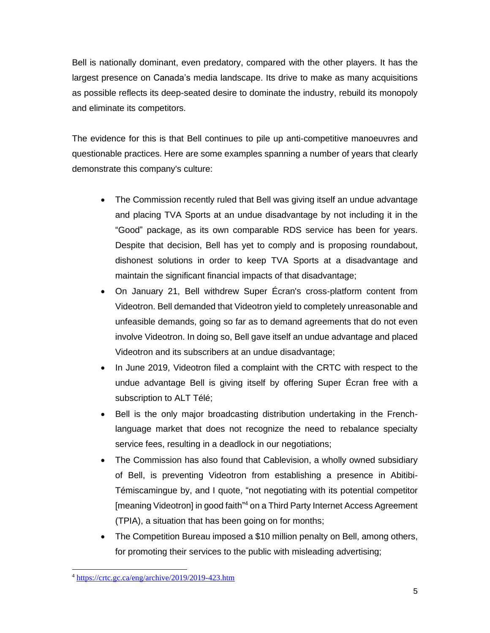Bell is nationally dominant, even predatory, compared with the other players. It has the largest presence on Canada's media landscape. Its drive to make as many acquisitions as possible reflects its deep-seated desire to dominate the industry, rebuild its monopoly and eliminate its competitors.

The evidence for this is that Bell continues to pile up anti-competitive manoeuvres and questionable practices. Here are some examples spanning a number of years that clearly demonstrate this company's culture:

- The Commission recently ruled that Bell was giving itself an undue advantage and placing TVA Sports at an undue disadvantage by not including it in the "Good" package, as its own comparable RDS service has been for years. Despite that decision, Bell has yet to comply and is proposing roundabout, dishonest solutions in order to keep TVA Sports at a disadvantage and maintain the significant financial impacts of that disadvantage;
- On January 21, Bell withdrew Super Écran's cross-platform content from Videotron. Bell demanded that Videotron yield to completely unreasonable and unfeasible demands, going so far as to demand agreements that do not even involve Videotron. In doing so, Bell gave itself an undue advantage and placed Videotron and its subscribers at an undue disadvantage;
- In June 2019, Videotron filed a complaint with the CRTC with respect to the undue advantage Bell is giving itself by offering Super Écran free with a subscription to ALT Télé;
- Bell is the only major broadcasting distribution undertaking in the Frenchlanguage market that does not recognize the need to rebalance specialty service fees, resulting in a deadlock in our negotiations;
- The Commission has also found that Cablevision, a wholly owned subsidiary of Bell, is preventing Videotron from establishing a presence in Abitibi-Témiscamingue by, and I quote, "not negotiating with its potential competitor [meaning Videotron] in good faith<sup>n4</sup> on a Third Party Internet Access Agreement (TPIA), a situation that has been going on for months;
- The Competition Bureau imposed a \$10 million penalty on Bell, among others, for promoting their services to the public with misleading advertising;

<sup>4</sup> <https://crtc.gc.ca/eng/archive/2019/2019-423.htm>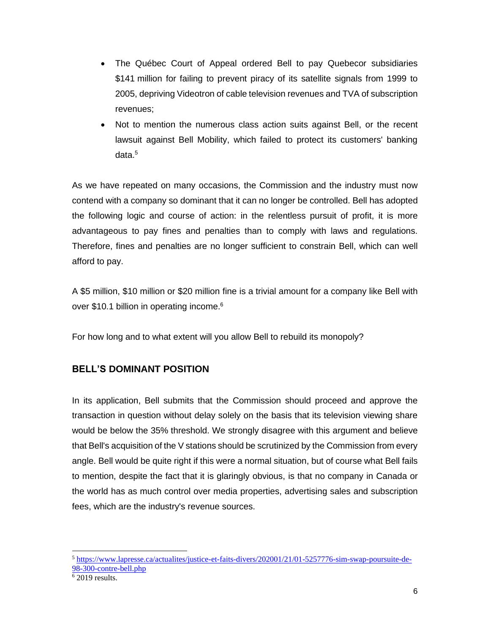- The Québec Court of Appeal ordered Bell to pay Quebecor subsidiaries \$141 million for failing to prevent piracy of its satellite signals from 1999 to 2005, depriving Videotron of cable television revenues and TVA of subscription revenues;
- Not to mention the numerous class action suits against Bell, or the recent lawsuit against Bell Mobility, which failed to protect its customers' banking data.<sup>5</sup>

As we have repeated on many occasions, the Commission and the industry must now contend with a company so dominant that it can no longer be controlled. Bell has adopted the following logic and course of action: in the relentless pursuit of profit, it is more advantageous to pay fines and penalties than to comply with laws and regulations. Therefore, fines and penalties are no longer sufficient to constrain Bell, which can well afford to pay.

A \$5 million, \$10 million or \$20 million fine is a trivial amount for a company like Bell with over \$10.1 billion in operating income. 6

For how long and to what extent will you allow Bell to rebuild its monopoly?

# **BELL'S DOMINANT POSITION**

In its application, Bell submits that the Commission should proceed and approve the transaction in question without delay solely on the basis that its television viewing share would be below the 35% threshold. We strongly disagree with this argument and believe that Bell's acquisition of the V stations should be scrutinized by the Commission from every angle. Bell would be quite right if this were a normal situation, but of course what Bell fails to mention, despite the fact that it is glaringly obvious, is that no company in Canada or the world has as much control over media properties, advertising sales and subscription fees, which are the industry's revenue sources.

<sup>5</sup> [https://www.lapresse.ca/actualites/justice-et-faits-divers/202001/21/01-5257776-sim-swap-poursuite-de-](https://www.lapresse.ca/actualites/justice-et-faits-divers/202001/21/01-5257776-sim-swap-poursuite-de-98-300-contre-bell.php)[98-300-contre-bell.php](https://www.lapresse.ca/actualites/justice-et-faits-divers/202001/21/01-5257776-sim-swap-poursuite-de-98-300-contre-bell.php)

 $6\overline{2019}$  results.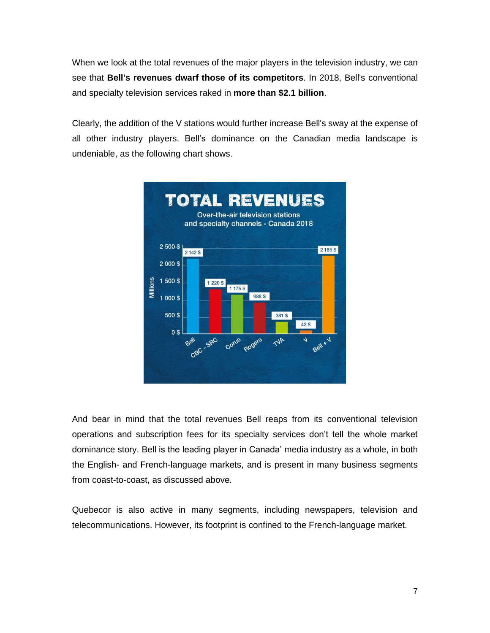When we look at the total revenues of the major players in the television industry, we can see that **Bell's revenues dwarf those of its competitors**. In 2018, Bell's conventional and specialty television services raked in **more than \$2.1 billion**.

Clearly, the addition of the V stations would further increase Bell's sway at the expense of all other industry players. Bell's dominance on the Canadian media landscape is undeniable, as the following chart shows.



And bear in mind that the total revenues Bell reaps from its conventional television operations and subscription fees for its specialty services don't tell the whole market dominance story. Bell is the leading player in Canada' media industry as a whole, in both the English- and French-language markets, and is present in many business segments from coast-to-coast, as discussed above.

Quebecor is also active in many segments, including newspapers, television and telecommunications. However, its footprint is confined to the French-language market.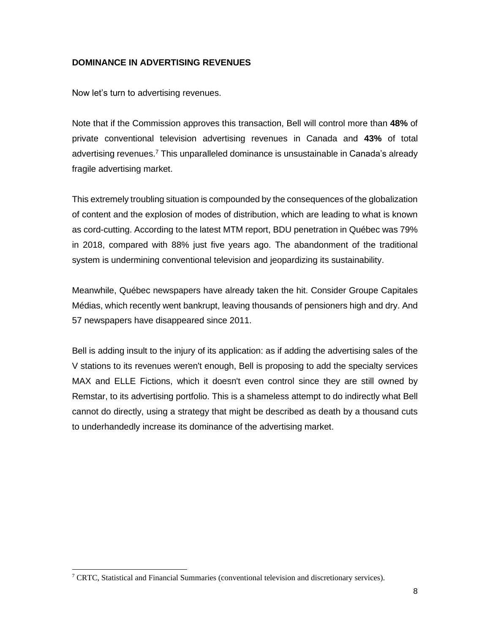## **DOMINANCE IN ADVERTISING REVENUES**

Now let's turn to advertising revenues.

Note that if the Commission approves this transaction, Bell will control more than **48%** of private conventional television advertising revenues in Canada and **43%** of total advertising revenues.<sup>7</sup> This unparalleled dominance is unsustainable in Canada's already fragile advertising market.

This extremely troubling situation is compounded by the consequences of the globalization of content and the explosion of modes of distribution, which are leading to what is known as cord-cutting. According to the latest MTM report, BDU penetration in Québec was 79% in 2018, compared with 88% just five years ago. The abandonment of the traditional system is undermining conventional television and jeopardizing its sustainability.

Meanwhile, Québec newspapers have already taken the hit. Consider Groupe Capitales Médias, which recently went bankrupt, leaving thousands of pensioners high and dry. And 57 newspapers have disappeared since 2011.

Bell is adding insult to the injury of its application: as if adding the advertising sales of the V stations to its revenues weren't enough, Bell is proposing to add the specialty services MAX and ELLE Fictions, which it doesn't even control since they are still owned by Remstar, to its advertising portfolio. This is a shameless attempt to do indirectly what Bell cannot do directly, using a strategy that might be described as death by a thousand cuts to underhandedly increase its dominance of the advertising market.

<sup>&</sup>lt;sup>7</sup> CRTC, Statistical and Financial Summaries (conventional television and discretionary services).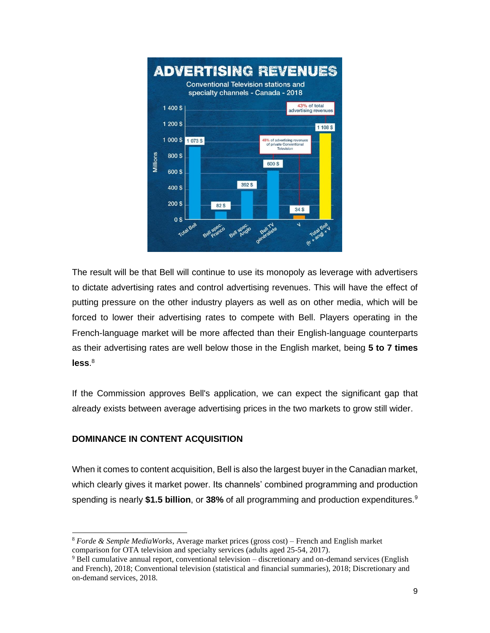

The result will be that Bell will continue to use its monopoly as leverage with advertisers to dictate advertising rates and control advertising revenues. This will have the effect of putting pressure on the other industry players as well as on other media, which will be forced to lower their advertising rates to compete with Bell. Players operating in the French-language market will be more affected than their English-language counterparts as their advertising rates are well below those in the English market, being **5 to 7 times less**. 8

If the Commission approves Bell's application, we can expect the significant gap that already exists between average advertising prices in the two markets to grow still wider.

# **DOMINANCE IN CONTENT ACQUISITION**

When it comes to content acquisition, Bell is also the largest buyer in the Canadian market, which clearly gives it market power. Its channels' combined programming and production spending is nearly **\$1.5 billion**, or **38%** of all programming and production expenditures.<sup>9</sup>

<sup>8</sup> *Forde & Semple MediaWorks*, Average market prices (gross cost) – French and English market comparison for OTA television and specialty services (adults aged 25-54, 2017).

<sup>9</sup> Bell cumulative annual report, conventional television – discretionary and on-demand services (English and French), 2018; Conventional television (statistical and financial summaries), 2018; Discretionary and on-demand services, 2018.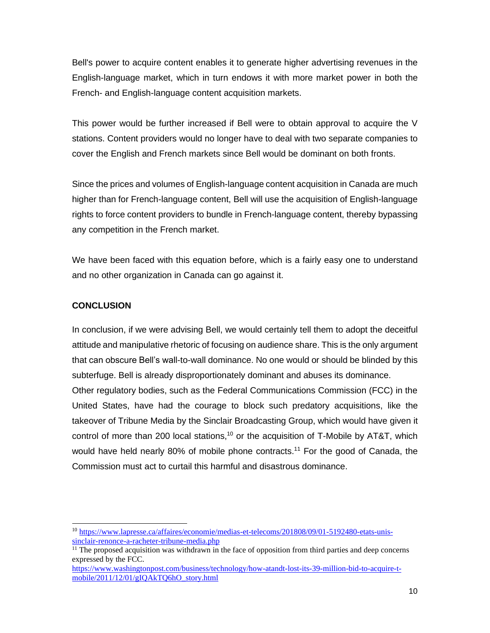Bell's power to acquire content enables it to generate higher advertising revenues in the English-language market, which in turn endows it with more market power in both the French- and English-language content acquisition markets.

This power would be further increased if Bell were to obtain approval to acquire the V stations. Content providers would no longer have to deal with two separate companies to cover the English and French markets since Bell would be dominant on both fronts.

Since the prices and volumes of English-language content acquisition in Canada are much higher than for French-language content, Bell will use the acquisition of English-language rights to force content providers to bundle in French-language content, thereby bypassing any competition in the French market.

We have been faced with this equation before, which is a fairly easy one to understand and no other organization in Canada can go against it.

# **CONCLUSION**

In conclusion, if we were advising Bell, we would certainly tell them to adopt the deceitful attitude and manipulative rhetoric of focusing on audience share. This is the only argument that can obscure Bell's wall-to-wall dominance. No one would or should be blinded by this subterfuge. Bell is already disproportionately dominant and abuses its dominance. Other regulatory bodies, such as the Federal Communications Commission (FCC) in the United States, have had the courage to block such predatory acquisitions, like the takeover of Tribune Media by the Sinclair Broadcasting Group, which would have given it control of more than 200 local stations,<sup>10</sup> or the acquisition of T-Mobile by AT&T, which would have held nearly 80% of mobile phone contracts.<sup>11</sup> For the good of Canada, the Commission must act to curtail this harmful and disastrous dominance.

<sup>10</sup> [https://www.lapresse.ca/affaires/economie/medias-et-telecoms/201808/09/01-5192480-etats-unis](https://www.lapresse.ca/affaires/economie/medias-et-telecoms/201808/09/01-5192480-etats-unis-sinclair-renonce-a-racheter-tribune-media.php)[sinclair-renonce-a-racheter-tribune-media.php](https://www.lapresse.ca/affaires/economie/medias-et-telecoms/201808/09/01-5192480-etats-unis-sinclair-renonce-a-racheter-tribune-media.php)

 $11$  The proposed acquisition was withdrawn in the face of opposition from third parties and deep concerns expressed by the FCC.

[https://www.washingtonpost.com/business/technology/how-atandt-lost-its-39-million-bid-to-acquire-t](https://www.washingtonpost.com/business/technology/how-atandt-lost-its-39-million-bid-to-acquire-t-mobile/2011/12/01/gIQAkTQ6hO_story.html)[mobile/2011/12/01/gIQAkTQ6hO\\_story.html](https://www.washingtonpost.com/business/technology/how-atandt-lost-its-39-million-bid-to-acquire-t-mobile/2011/12/01/gIQAkTQ6hO_story.html)